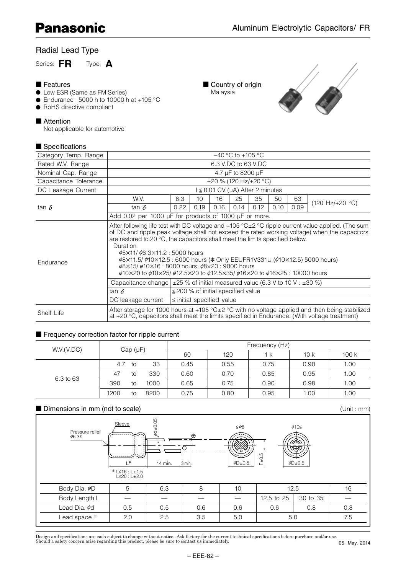# Radial Lead Type

Series: **FR** Type: **A**

#### ■ Features

- Low ESR (Same as FM Series)
- $\bullet$  Endurance : 5000 h to 10000 h at +105 °C
- RoHS directive compliant

#### ■ Attention

Not applicable for automotive

## $\blacksquare$  Specifications





| ■ ∪νυνιπναιινπυ       |                                                                                                                                                                                                                                                                                                                                                                                                         |                                                                                      |                 |      |                   |      |      |      |                                                                                                                                                                                                            |  |
|-----------------------|---------------------------------------------------------------------------------------------------------------------------------------------------------------------------------------------------------------------------------------------------------------------------------------------------------------------------------------------------------------------------------------------------------|--------------------------------------------------------------------------------------|-----------------|------|-------------------|------|------|------|------------------------------------------------------------------------------------------------------------------------------------------------------------------------------------------------------------|--|
| Category Temp. Range  | $-40$ °C to $+105$ °C                                                                                                                                                                                                                                                                                                                                                                                   |                                                                                      |                 |      |                   |      |      |      |                                                                                                                                                                                                            |  |
| Rated W.V. Range      | 6.3 V.DC to 63 V.DC                                                                                                                                                                                                                                                                                                                                                                                     |                                                                                      |                 |      |                   |      |      |      |                                                                                                                                                                                                            |  |
| Nominal Cap. Range    |                                                                                                                                                                                                                                                                                                                                                                                                         |                                                                                      |                 |      | 4.7 µF to 8200 µF |      |      |      |                                                                                                                                                                                                            |  |
| Capacitance Tolerance |                                                                                                                                                                                                                                                                                                                                                                                                         | $\pm 20$ % (120 Hz/+20 °C)                                                           |                 |      |                   |      |      |      |                                                                                                                                                                                                            |  |
| DC Leakage Current    |                                                                                                                                                                                                                                                                                                                                                                                                         | $1 \le 0.01$ CV (µA) After 2 minutes                                                 |                 |      |                   |      |      |      |                                                                                                                                                                                                            |  |
|                       | W.V.                                                                                                                                                                                                                                                                                                                                                                                                    | 6.3                                                                                  | 10 <sup>1</sup> | 16   | 25                | 35   | 50   | 63   |                                                                                                                                                                                                            |  |
| tan $\delta$          | tan $\delta$                                                                                                                                                                                                                                                                                                                                                                                            | 0.22                                                                                 | 0.19            | 0.16 | 0.14              | 0.12 | 0.10 | 0.09 | $(120 \text{ Hz}/+20 \text{ °C})$                                                                                                                                                                          |  |
|                       | Add 0.02 per 1000 µF for products of 1000 µF or more.                                                                                                                                                                                                                                                                                                                                                   |                                                                                      |                 |      |                   |      |      |      |                                                                                                                                                                                                            |  |
| Endurance             | are restored to 20 °C, the capacitors shall meet the limits specified below.<br>Duration<br>$\phi$ 5×11/ $\phi$ 6.3×11.2 : 5000 hours<br>\$8x11.5/ \$10x12.5 : 6000 hours (* Only EEUFR1V331U (\$10x12.5) 5000 hours)<br>$\phi$ 8×15/ $\phi$ 10×16 : 8000 hours, $\phi$ 8×20 : 9000 hours<br>$\phi$ 10×20 to $\phi$ 10×25/ $\phi$ 12.5×20 to $\phi$ 12.5×35/ $\phi$ 16×20 to $\phi$ 16×25 : 10000 hours |                                                                                      |                 |      |                   |      |      |      | After following life test with DC voltage and $+105$ °C $\pm 2$ °C ripple current value applied. (The sum<br>of DC and ripple peak voltage shall not exceed the rated working voltage) when the capacitors |  |
|                       |                                                                                                                                                                                                                                                                                                                                                                                                         | Capacitance change $\pm$ 25 % of initial measured value (6.3 V to 10 V : $\pm$ 30 %) |                 |      |                   |      |      |      |                                                                                                                                                                                                            |  |
|                       | tan $\delta$                                                                                                                                                                                                                                                                                                                                                                                            | $\leq$ 200 % of initial specified value                                              |                 |      |                   |      |      |      |                                                                                                                                                                                                            |  |
|                       | DC leakage current<br>$\le$ initial specified value                                                                                                                                                                                                                                                                                                                                                     |                                                                                      |                 |      |                   |      |      |      |                                                                                                                                                                                                            |  |
| Shelf Life            | at $+20$ °C, capacitors shall meet the limits specified in Endurance. (With voltage treatment)                                                                                                                                                                                                                                                                                                          |                                                                                      |                 |      |                   |      |      |      | After storage for 1000 hours at +105 $^{\circ}$ C $\pm$ 2 $^{\circ}$ C with no voltage applied and then being stabilized                                                                                   |  |

#### ■ Frequency correction factor for ripple current

| W.V.(V.DC) | Cap $(\mu F)$ |    |      | Frequency (Hz) |      |      |                                     |      |  |  |  |
|------------|---------------|----|------|----------------|------|------|-------------------------------------|------|--|--|--|
|            |               |    |      | 60             | 120  | 1 k  | 10k<br>0.90<br>0.95<br>0.98<br>1.00 | 100k |  |  |  |
|            | 4.7           | to | 33   | 0.45           | 0.55 | 0.75 |                                     | 1.00 |  |  |  |
| 6.3 to 63  | 47            | tΟ | 330  | 0.60           | 0.70 | 0.85 |                                     | 1.00 |  |  |  |
|            | 390           | tο | 1000 | 0.65           | 0.75 | 0.90 |                                     | 1.00 |  |  |  |
|            | 1200          | tο | 8200 | 0.75           | 0.80 | 0.95 |                                     | 1.00 |  |  |  |

#### ■ Dimensions in mm (not to scale)

Sleeve  $\begin{bmatrix} 0 \\ 0 \\ 1 \end{bmatrix}$   $\leq \phi$ 8  $\phi$ 10  $L^*$  14 min. 3 min 5.l≦16 : L±1\*<br>20 : L≥20 : L±2.0 Pressure relief <sup>0</sup>6.3 +  $\overline{\Theta}$  $\leq \phi$ 8  $\phi$ D $\pm$ 0.5 F±0.5  $\phi$ D $\pm$ 0.5  $\phi$ d $\pm$ 0.05 Body Dia.  $\phi$ D 5 6.3 8 10 10 12.5 16 Body Length L — — — — 12.5 to 25 30 to 35 — Lead Dia.  $\phi$ d | 0.5 | 0.5 | 0.6 | 0.6 | 0.6 | 0.8 | 0.8 Lead space F 2.0 2.5 3.5 5.0 5.0 5.0 7.5

Design and specifications are each subject to change without notice. Ask factory for the current technical specifications before purchase and/or use.<br>Should a safety concern arise regarding this product, please be sure to

(Unit : mm)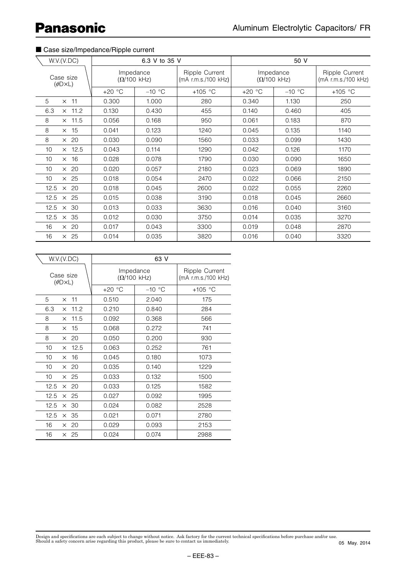# ■ Case size/Impedance/Ripple current

| W.V.(V.DC)                          |          | 6.3 V to 35 V                           |                                       |                                         | 50 V                                  |                  |  |  |
|-------------------------------------|----------|-----------------------------------------|---------------------------------------|-----------------------------------------|---------------------------------------|------------------|--|--|
| Case size<br>$(\phi\Box\times\Box)$ |          | Impedance<br>$(\Omega/100 \text{ kHz})$ | Ripple Current<br>(mA r.m.s./100 kHz) | Impedance<br>$(\Omega/100 \text{ kHz})$ | Ripple Current<br>(mA r.m.s./100 kHz) |                  |  |  |
|                                     | $+20 °C$ | $-10$ °C                                | +105 $\degree$ C                      | $+20 °C$                                | $-10$ °C                              | +105 $\degree$ C |  |  |
| 5<br>$\times$ 11                    | 0.300    | 1.000                                   | 280                                   | 0.340                                   | 1.130                                 | 250              |  |  |
| $\times$ 11.2<br>6.3                | 0.130    | 0.430                                   | 455                                   | 0.140                                   | 0.460                                 | 405              |  |  |
| 8<br>$\times$ 11.5                  | 0.056    | 0.168                                   | 950                                   | 0.061                                   | 0.183                                 | 870              |  |  |
| 8<br>$\times$ 15                    | 0.041    | 0.123                                   | 1240                                  | 0.045                                   | 0.135                                 | 1140             |  |  |
| $\times$ 20<br>8                    | 0.030    | 0.090                                   | 1560                                  | 0.033                                   | 0.099                                 | 1430             |  |  |
| $\times$ 12.5<br>10                 | 0.043    | 0.114                                   | 1290                                  | 0.042                                   | 0.126                                 | 1170             |  |  |
| $\times$ 16<br>10                   | 0.028    | 0.078                                   | 1790                                  | 0.030                                   | 0.090                                 | 1650             |  |  |
| $\times$ 20<br>10                   | 0.020    | 0.057                                   | 2180                                  | 0.023                                   | 0.069                                 | 1890             |  |  |
| $\times$ 25<br>10                   | 0.018    | 0.054                                   | 2470                                  | 0.022                                   | 0.066                                 | 2150             |  |  |
| $\times$ 20<br>12.5                 | 0.018    | 0.045                                   | 2600                                  | 0.022                                   | 0.055                                 | 2260             |  |  |
| 12.5<br>$\times$ 25                 | 0.015    | 0.038                                   | 3190                                  | 0.018                                   | 0.045                                 | 2660             |  |  |
| $\times$ 30<br>12.5                 | 0.013    | 0.033                                   | 3630                                  | 0.016                                   | 0.040                                 | 3160             |  |  |
| $\times$ 35<br>12.5                 | 0.012    | 0.030                                   | 3750                                  | 0.014                                   | 0.035                                 | 3270             |  |  |
| $\times$ 20<br>16                   | 0.017    | 0.043                                   | 3300                                  | 0.019                                   | 0.048                                 | 2870             |  |  |
| $\times$ 25<br>16                   | 0.014    | 0.035                                   | 3820                                  | 0.016                                   | 0.040                                 | 3320             |  |  |

| W.V.(V.DC)                            | 63 V     |                                 |                                       |  |  |  |  |
|---------------------------------------|----------|---------------------------------|---------------------------------------|--|--|--|--|
| Case size<br>$(\phi\Box \times \Box)$ |          | Impedance<br>$(\Omega/100$ kHz) | Ripple Current<br>(mA r.m.s./100 kHz) |  |  |  |  |
|                                       | $+20$ °C | $-10$ °C                        | $+105$ °C                             |  |  |  |  |
| 5<br>$\times$ 11                      | 0.510    | 2.040                           | 175                                   |  |  |  |  |
| 6.3<br>11.2<br>$\times$               | 0.210    | 0.840                           | 284                                   |  |  |  |  |
| 8<br>11.5<br>$\times$                 | 0.092    | 0.368                           | 566                                   |  |  |  |  |
| 8<br>15<br>$\times$                   | 0.068    | 0.272                           | 741                                   |  |  |  |  |
| 8<br>$\times$ 20                      | 0.050    | 0.200                           | 930                                   |  |  |  |  |
| 10<br>12.5<br>$\times$                | 0.063    | 0.252                           | 761                                   |  |  |  |  |
| 10<br>16<br>$\times$                  | 0.045    | 0.180                           | 1073                                  |  |  |  |  |
| 10<br>$\times$ 20                     | 0.035    | 0.140                           | 1229                                  |  |  |  |  |
| 10<br>$\times$ 25                     | 0.033    | 0.132                           | 1500                                  |  |  |  |  |
| 12.5<br>$\times$ 20                   | 0.033    | 0.125                           | 1582                                  |  |  |  |  |
| 12.5<br>$\times$ 25                   | 0.027    | 0.092                           | 1995                                  |  |  |  |  |
| 12.5<br>30<br>$\times$                | 0.024    | 0.082                           | 2528                                  |  |  |  |  |
| 12.5<br>35<br>$\times$                | 0.021    | 0.071                           | 2780                                  |  |  |  |  |
| 16<br>$\times$ 20                     | 0.029    | 0.093                           | 2153                                  |  |  |  |  |
| 16<br>$\times$ 25                     | 0.024    | 0.074                           | 2988                                  |  |  |  |  |

Design and specifications are each subject to change without notice. Ask factory for the current technical specifications before purchase and/or use.<br>Should a safety concern arise regarding this product, please be sure to 05 May. 2014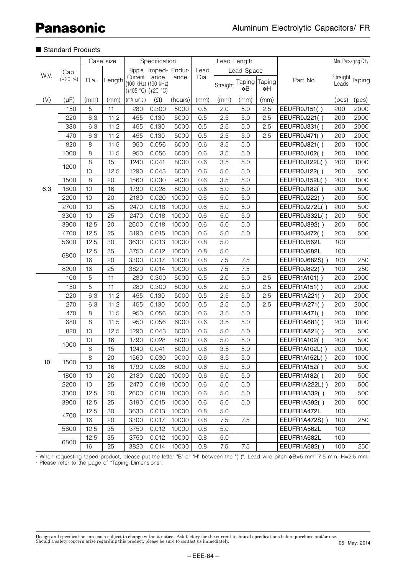### ■ Standard Products

| W.V.       |               |      | Case size | Specification |                             |         |         | Lead Length |            |               |                     | Min. Packaging Q'ty |                            |
|------------|---------------|------|-----------|---------------|-----------------------------|---------|---------|-------------|------------|---------------|---------------------|---------------------|----------------------------|
|            | Cap.          |      |           | Ripple        | Imped-                      | Endur-  | Lead    |             | Lead Space |               |                     |                     |                            |
|            | $(\pm 20 \%)$ | Dia. | Length    | Current       | ance<br>(100 kHz) (100 kHz) | ance    | Dia.    |             |            | Taping Taping | Part No.            | Leads               | Straight <sub>Taping</sub> |
| (V)<br>6.3 |               |      |           |               | $(+105 °C)(+20 °C)$         |         |         | Straight    | *B         | ∗H            |                     |                     |                            |
|            | $(\mu F)$     | (mm) | (mm)      | $(mA$ r.m.s.) | $(\Omega)$                  | (hours) | (mm)    | (mm)        | (mm)       | (mm)          |                     | (pcs)               | (pcs)                      |
|            | 150           | 5    | 11        | 280           | 0.300                       | 5000    | 0.5     | 2.0         | 5.0        | 2.5           | EEUFR0J151()        | 200                 | 2000                       |
|            | 220           | 6.3  | 11.2      | 455           | 0.130                       | 5000    | 0.5     | 2.5         | 5.0        | 2.5           | EEUFR0J221()        | 200                 | 2000                       |
|            | 330           | 6.3  | 11.2      | 455           | 0.130                       | 5000    | 0.5     | 2.5         | 5.0        | 2.5           | EEUFR0J331()        | 200                 | 2000                       |
|            | 470           | 6.3  | 11.2      | 455           | 0.130                       | 5000    | 0.5     | 2.5         | 5.0        | 2.5           | EEUFR0J471()        | 200                 | 2000                       |
|            | 820           | 8    | 11.5      | 950           | 0.056                       | 6000    | 0.6     | 3.5         | 5.0        |               | EEUFR0J821()        | 200                 | 1000                       |
|            | 1000          | 8    | 11.5      | 950           | 0.056                       | 6000    | 0.6     | 3.5         | 5.0        |               | EEUFR0J102()        | 200                 | 1000                       |
|            |               | 8    | 15        | 1240          | 0.041                       | 8000    | 0.6     | 3.5         | 5.0        |               | EEUFR0J122L()       | 200                 | 1000                       |
|            | 1200          | 10   | 12.5      | 1290          | 0.043                       | 6000    | 0.6     | 5.0         | 5.0        |               | EEUFR0J122()        | 200                 | 500                        |
|            | 1500          | 8    | 20        | 1560          | 0.030                       | 9000    | 0.6     | 3.5         | 5.0        |               | EEUFR0J152L()       | 200                 | 1000                       |
|            | 1800          | 10   | 16        | 1790          | 0.028                       | 8000    | 0.6     | 5.0         | 5.0        |               | EEUFR0J182()        | 200                 | 500                        |
|            | 2200          | 10   | 20        | 2180          | 0.020                       | 10000   | 0.6     | 5.0         | 5.0        |               | EEUFR0J222()        | 200                 | 500                        |
|            | 2700          | 10   | 25        | 2470          | 0.018                       | 10000   | 0.6     | 5.0         | 5.0        |               | EEUFR0J272L()       | 200                 | 500                        |
|            | 3300          | 10   | 25        | 2470          | 0.018                       | 10000   | 0.6     | 5.0         | 5.0        |               | EEUFR0J332L()       | 200                 | 500                        |
|            | 3900          | 12.5 | 20        | 2600          | 0.018                       | 10000   | 0.6     | 5.0         | 5.0        |               | EEUFR0J392()        | 200                 | 500                        |
|            | 4700          | 12.5 | 25        | 3190          | 0.015                       | 10000   | 0.6     | 5.0         | 5.0        |               | EEUFR0J472()        | 200                 | 500                        |
|            | 5600          | 12.5 | 30        | 3630          | 0.013                       | 10000   | 0.8     | 5.0         |            |               | EEUFR0J562L         | 100                 |                            |
|            |               | 12.5 | 35        | 3750          | 0.012                       | 10000   | 0.8     | 5.0         |            |               | EEUFR0J682L         | 100                 |                            |
|            | 6800          | 16   | 20        | 3300          | 0.017                       | 10000   | 0.8     | 7.5         | 7.5        |               | EEUFR0J682S()       | 100                 | 250                        |
|            | 8200          | 16   | 25        | 3820          | 0.014                       | 10000   | 0.8     | 7.5         | 7.5        |               | EEUFR0J822()        | 100                 | 250                        |
|            | 100           | 5    | 11        | 280           | 0.300                       | 5000    | 0.5     | 2.0         | 5.0        | 2.5           | EEUFR1A101()        | 200                 | 2000                       |
|            | 150           | 5    | 11        | 280           | 0.300                       | 5000    | 0.5     | 2.0         | 5.0        | 2.5           | <b>EEUFR1A151()</b> | 200                 | 2000                       |
|            | 220           | 6.3  | 11.2      | 455           | 0.130                       | 5000    | 0.5     | 2.5         | 5.0        | 2.5           | EEUFR1A221()        | 200                 | 2000                       |
|            | 270           | 6.3  | 11.2      | 455           | 0.130                       | 5000    | 0.5     | 2.5         | 5.0        | 2.5           | EEUFR1A271()        | 200                 | 2000                       |
|            | 470           | 8    | 11.5      | 950           | 0.056                       | 6000    | 0.6     | 3.5         | 5.0        |               | EEUFR1A471()        | 200                 | 1000                       |
|            | 680           | 8    | 11.5      | 950           | 0.056                       | 6000    | 0.6     | 3.5         | 5.0        |               | EEUFR1A681()        | 200                 | 1000                       |
|            | 820           | 10   | 12.5      | 1290          | 0.043                       | 6000    | 0.6     | 5.0         | 5.0        |               | EEUFR1A821()        | 200                 | 500                        |
|            |               | 10   | 16        | 1790          | 0.028                       | 8000    | 0.6     | 5.0         | 5.0        |               | EEUFR1A102()        | 200                 | 500                        |
|            | 1000          | 8    | 15        | 1240          | 0.041                       | 8000    | 0.6     | 3.5         | 5.0        |               | EEUFR1A102L()       | 200                 | 1000                       |
|            |               | 8    | 20        | 1560          | 0.030                       | 9000    | 0.6     | 3.5         | 5.0        |               | EEUFR1A152L()       | 200                 | 1000                       |
|            | 1500          | 10   | 16        | 1790          | 0.028                       | 8000    | 0.6     | 5.0         | 5.0        |               | EEUFR1A152()        | 200                 | 500                        |
|            | 1800          | 10   | 20        | 2180          | 0.020                       | 10000   | 0.6     | 5.0         | 5.0        |               | EEUFR1A182()        | 200                 | 500                        |
|            | 2200          | 10   | 25        | 2470          | 0.018                       | 10000   | 0.6     | 5.0         | 5.0        |               | EEUFR1A222L()       | 200                 | 500                        |
|            | 3300          | 12.5 | 20        | 2600          | 0.018                       | 10000   | 0.6     | 5.0         | 5.0        |               | EEUFR1A332()        | 200                 | 500                        |
|            | 3900          | 12.5 | 25        | 3190          | 0.015                       | 10000   | 0.6     | 5.0         | 5.0        |               | EEUFR1A392()        | 200                 | 500                        |
|            |               | 12.5 | 30        | 3630          | 0.013                       | 10000   | 0.8     | 5.0         |            |               | EEUFR1A472L         | 100                 |                            |
|            | 4700          | 16   | 20        | 3300          | 0.017                       | 10000   | 0.8     | 7.5         | 7.5        |               | EEUFR1A472S()       | 100                 | 250                        |
|            | 5600          | 12.5 | 35        | 3750          | 0.012                       | 10000   | 0.8     | 5.0         |            |               | EEUFR1A562L         | 100                 |                            |
| 10         |               | 12.5 | 35        | 3750          | 0.012                       | 10000   | 0.8     | 5.0         |            |               | EEUFR1A682L         | 100                 |                            |
|            | 6800          | 16   | 25        | 3820          | 0.014                       | 10000   | $0.8\,$ | 7.5         | 7.5        |               | EEUFR1A682()        | 100                 | 250                        |

· When requesting taped product, please put the letter "B" or "H" between the "( )". Lead wire pitch ∗B=5 mm, 7.5 mm, H=2.5 mm. · Please refer to the page of "Taping Dimensions".

Design and specifications are each subject to change without notice. Ask factory for the current technical specifications before purchase and/or use.<br>Should a safety concern arise regarding this product, please be sure to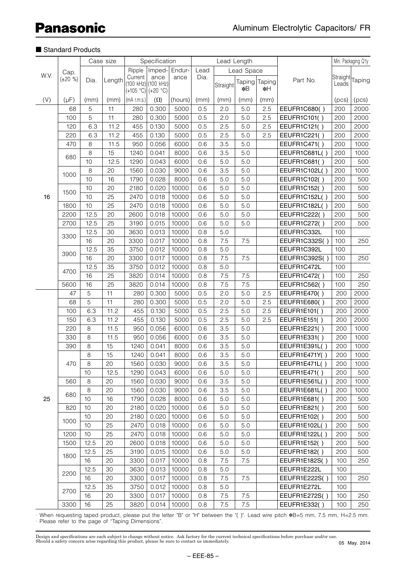## ■ Standard Products

|      |                       | Case size |        | Specification |                                                    |         |      | Lead Length |            |                     |                     |                   | Min. Packaging Q'ty |
|------|-----------------------|-----------|--------|---------------|----------------------------------------------------|---------|------|-------------|------------|---------------------|---------------------|-------------------|---------------------|
|      |                       |           |        | Ripple        | Imped-                                             | Endur-  | Lead |             | Lead Space |                     |                     |                   |                     |
| W.V. | Cap.<br>$(\pm 20 \%)$ | Dia.      | Length | Current       | ance<br>(100 kHz) (100 kHz)<br>$(+105 °C)(+20 °C)$ | ance    | Dia. | Straight    | *B         | Taping Taping<br>∗H | Part No.            | Straight<br>Leads | Taping              |
| (V)  | $(\mu F)$             | (mm)      | (mm)   | (mA r.m.s.)   | $(\Omega)$                                         | (hours) | (mm) | (mm)        | (mm)       | (mm)                |                     | (pcs)             | (pcs)               |
|      | 68                    | 5         | 11     | 280           | 0.300                                              | 5000    | 0.5  | 2.0         | 5.0        | 2.5                 | EEUFR1C680()        | 200               | 2000                |
|      | 100                   | 5         | 11     | 280           | 0.300                                              | 5000    | 0.5  | 2.0         | 5.0        | 2.5                 | EEUFR1C101()        | 200               | 2000                |
|      | 120                   | 6.3       | 11.2   | 455           | 0.130                                              | 5000    | 0.5  | 2.5         | 5.0        | 2.5                 | EEUFR1C121()        | 200               | 2000                |
|      | 220                   | 6.3       | 11.2   | 455           | 0.130                                              | 5000    | 0.5  | 2.5         | 5.0        | 2.5                 | EEUFR1C221()        | 200               | 2000                |
|      | 470                   | 8         | 11.5   | 950           | 0.056                                              | 6000    | 0.6  | 3.5         | 5.0        |                     | EEUFR1C471()        | 200               | 1000                |
|      |                       | 8         | 15     | 1240          | 0.041                                              | 8000    | 0.6  | 3.5         | 5.0        |                     | EEUFR1C681L()       | 200               | 1000                |
|      | 680                   | 10        | 12.5   | 1290          | 0.043                                              | 6000    | 0.6  | 5.0         | 5.0        |                     | <b>EEUFR1C681()</b> | 200               | 500                 |
|      |                       | 8         | 20     | 1560          | 0.030                                              | 9000    | 0.6  | 3.5         | 5.0        |                     | EEUFR1C102L()       | 200               | 1000                |
|      | 1000                  | 10        | 16     | 1790          | 0.028                                              | 8000    | 0.6  | 5.0         | 5.0        |                     | EEUFR1C102()        | 200               | 500                 |
|      |                       | 10        | 20     | 2180          | 0.020                                              | 10000   | 0.6  | 5.0         | 5.0        |                     | EEUFR1C152()        | 200               | 500                 |
| 16   | 1500                  | 10        | 25     | 2470          | 0.018                                              | 10000   | 0.6  | 5.0         | 5.0        |                     | EEUFR1C152L()       | 200               | 500                 |
|      | 1800                  | 10        | 25     | 2470          | 0.018                                              | 10000   | 0.6  | 5.0         | 5.0        |                     | EEUFR1C182L()       | 200               | 500                 |
|      | 2200                  | 12.5      | 20     | 2600          | 0.018                                              | 10000   | 0.6  | 5.0         | 5.0        |                     | EEUFR1C222()        | 200               | 500                 |
|      | 2700                  | 12.5      | 25     | 3190          | 0.015                                              | 10000   | 0.6  | 5.0         | 5.0        |                     | EEUFR1C272()        | 200               | 500                 |
|      |                       | 12.5      | 30     | 3630          | 0.013                                              | 10000   | 0.8  | 5.0         |            |                     | EEUFR1C332L         | 100               |                     |
|      | 3300                  | 16        | 20     | 3300          | 0.017                                              | 10000   | 0.8  | 7.5         | 7.5        |                     | EEUFR1C332S()       | 100               | 250                 |
|      |                       | 12.5      | 35     | 3750          | 0.012                                              | 10000   | 0.8  | 5.0         |            |                     | EEUFR1C392L         | 100               |                     |
|      | 3900                  | 16        | 20     | 3300          | 0.017                                              | 10000   | 0.8  | 7.5         | 7.5        |                     | EEUFR1C392S()       | 100               | 250                 |
|      |                       | 12.5      | 35     | 3750          | 0.012                                              | 10000   | 0.8  | 5.0         |            |                     | EEUFR1C472L         | 100               |                     |
|      | 4700                  | 16        | 25     | 3820          | 0.014                                              | 10000   | 0.8  | 7.5         | 7.5        |                     | EEUFR1C472()        | 100               | 250                 |
|      | 5600                  | 16        | 25     | 3820          | 0.014                                              | 10000   | 0.8  | 7.5         | 7.5        |                     | EEUFR1C562()        | 100               | 250                 |
|      | 47                    | 5         | 11     | 280           | 0.300                                              | 5000    | 0.5  | 2.0         | 5.0        | 2.5                 | EEUFR1E470()        | 200               | 2000                |
|      | 68                    | 5         | 11     | 280           | 0.300                                              | 5000    | 0.5  | 2.0         | 5.0        | 2.5                 | EEUFR1E680()        | 200               | 2000                |
|      | 100                   | 6.3       | 11.2   | 455           | 0.130                                              | 5000    | 0.5  | 2.5         | 5.0        | 2.5                 | EEUFR1E101()        | 200               | 2000                |
|      | 150                   | 6.3       | 11.2   | 455           | 0.130                                              | 5000    | 0.5  | 2.5         | 5.0        | 2.5                 | EEUFR1E151()        | 200               | 2000                |
|      | 220                   | $\,8\,$   | 11.5   | 950           | 0.056                                              | 6000    | 0.6  | 3.5         | 5.0        |                     | EEUFR1E221()        | 200               | 1000                |
|      | 330                   | 8         | 11.5   | 950           | 0.056                                              | 6000    | 0.6  | 3.5         | 5.0        |                     | EEUFR1E331()        | 200               | 1000                |
|      | 390                   | 8         | 15     | 1240          | 0.041                                              | 8000    | 0.6  | 3.5         | 5.0        |                     | EEUFR1E391L()       | 200               | 1000                |
|      |                       | 8         | 15     | 1240          | 0.041                                              | 8000    | 0.6  | 3.5         | 5.0        |                     | EEUFR1E471Y()       | 200               | 1000                |
|      | 470                   | 8         | 20     | 1560          | 0.030                                              | 9000    | 0.6  | 3.5         | 5.0        |                     | EEUFR1E471L()       | 200               | 1000                |
|      |                       | 10        | 12.5   | 1290          | 0.043                                              | 6000    | 0.6  | 5.0         | 5.0        |                     | EEUFR1E471()        | 200               | 500                 |
|      | 560                   | 8         | 20     | 1560          | 0.030                                              | 9000    | 0.6  | 3.5         | 5.0        |                     | EEUFR1E561L()       | 200               | 1000                |
|      | 680                   | 8         | 20     | 1560          | 0.030                                              | 9000    | 0.6  | 3.5         | 5.0        |                     | EEUFR1E681L()       | 200               | 1000                |
| 25   |                       | 10        | 16     | 1790          | 0.028                                              | 8000    | 0.6  | 5.0         | 5.0        |                     | EEUFR1E681()        | 200               | 500                 |
|      | 820                   | 10        | 20     | 2180          | 0.020                                              | 10000   | 0.6  | 5.0         | 5.0        |                     | EEUFR1E821()        | 200               | 500                 |
|      | 1000                  | 10        | 20     | 2180          | 0.020                                              | 10000   | 0.6  | 5.0         | 5.0        |                     | EEUFR1E102()        | 200               | 500                 |
|      |                       | 10        | 25     | 2470          | 0.018                                              | 10000   | 0.6  | 5.0         | 5.0        |                     | EEUFR1E102L()       | 200               | 500                 |
|      | 1200                  | 10        | 25     | 2470          | 0.018                                              | 10000   | 0.6  | 5.0         | 5.0        |                     | EEUFR1E122L()       | 200               | 500                 |
|      | 1500                  | 12.5      | 20     | 2600          | 0.018                                              | 10000   | 0.6  | 5.0         | 5.0        |                     | EEUFR1E152()        | 200               | 500                 |
|      | 1800                  | 12.5      | 25     | 3190          | 0.015                                              | 10000   | 0.6  | 5.0         | 5.0        |                     | EEUFR1E182()        | 200               | 500                 |
|      |                       | 16        | 20     | 3300          | 0.017                                              | 10000   | 0.8  | 7.5         | 7.5        |                     | EEUFR1E182S()       | 100               | 250                 |
|      | 2200                  | 12.5      | 30     | 3630          | 0.013                                              | 10000   | 0.8  | 5.0         |            |                     | EEUFR1E222L         | 100               |                     |
|      |                       | 16        | 20     | 3300          | 0.017                                              | 10000   | 0.8  | 7.5         | 7.5        |                     | EEUFR1E222S()       | 100               | 250                 |
|      | 2700                  | 12.5      | 35     | 3750          | 0.012                                              | 10000   | 0.8  | 5.0         |            |                     | EEUFR1E272L         | 100               |                     |
|      |                       | 16        | 20     | 3300          | 0.017                                              | 10000   | 0.8  | 7.5         | 7.5        |                     | EEUFR1E272S()       | 100               | 250                 |
|      | 3300                  | 16        | 25     | 3820          | 0.014                                              | 10000   | 0.8  | 7.5         | 7.5        |                     | EEUFR1E332()        | 100               | 250                 |

· When requesting taped product, please put the letter "B" or "H" between the "( )". Lead wire pitch ∗B=5 mm, 7.5 mm, H=2.5 mm. · Please refer to the page of "Taping Dimensions".

Design and specifications are each subject to change without notice. Ask factory for the current technical specifications before purchase and/or use.<br>Should a safety concern arise regarding this product, please be sure to